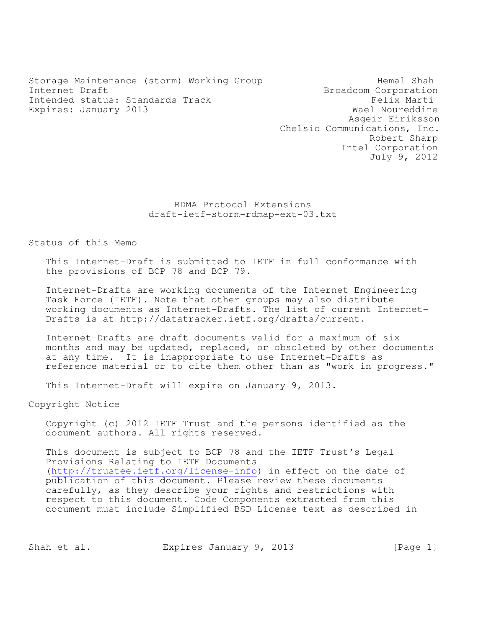Storage Maintenance (storm) Working Group Theorem Hemal Shah Internet Draft<br>Intended status: Standards Track and Broadcom Corporation<br>Felix Marti Intended status: Standards Track Felix Marti Felix Marti Expires: January 2013 Expires: January 2013

 Asgeir Eiriksson Chelsio Communications, Inc. Robert Sharp Intel Corporation July 9, 2012

## RDMA Protocol Extensions draft-ietf-storm-rdmap-ext-03.txt

Status of this Memo

This Internet-Draft is submitted to IETF in full conformance with the provisions of BCP 78 and BCP 79.

Internet-Drafts are working documents of the Internet Engineering Task Force (IETF). Note that other groups may also distribute working documents as Internet-Drafts. The list of current Internet-Drafts is at http://datatracker.ietf.org/drafts/current.

Internet-Drafts are draft documents valid for a maximum of six months and may be updated, replaced, or obsoleted by other documents at any time. It is inappropriate to use Internet-Drafts as reference material or to cite them other than as "work in progress."

This Internet-Draft will expire on January 9, 2013.

Copyright Notice

Copyright (c) 2012 IETF Trust and the persons identified as the document authors. All rights reserved.

This document is subject to BCP 78 and the IETF Trust's Legal Provisions Relating to IETF Documents (http://trustee.ietf.org/license-info) in effect on the date of publication of this document. Please review these documents carefully, as they describe your rights and restrictions with respect to this document. Code Components extracted from this document must include Simplified BSD License text as described in

Shah et al. Expires January 9, 2013 [Page 1]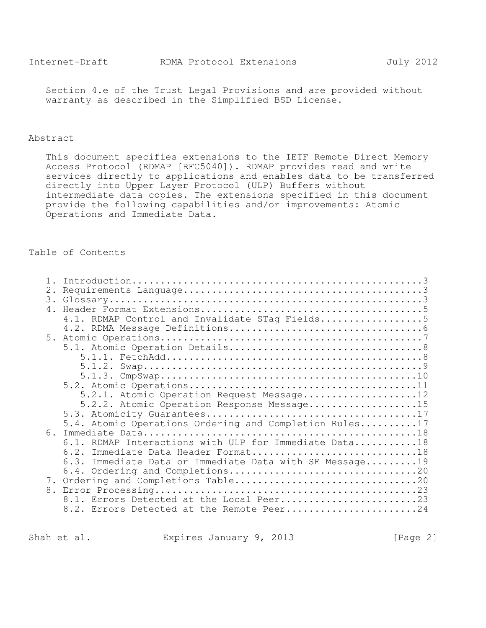Section 4.e of the Trust Legal Provisions and are provided without warranty as described in the Simplified BSD License.

### Abstract

This document specifies extensions to the IETF Remote Direct Memory Access Protocol (RDMAP [RFC5040]). RDMAP provides read and write services directly to applications and enables data to be transferred directly into Upper Layer Protocol (ULP) Buffers without intermediate data copies. The extensions specified in this document provide the following capabilities and/or improvements: Atomic Operations and Immediate Data.

## Table of Contents

| 2.             |                                                         |
|----------------|---------------------------------------------------------|
|                |                                                         |
| 4.             |                                                         |
|                | 4.1. RDMAP Control and Invalidate STag Fields5          |
|                |                                                         |
|                |                                                         |
|                |                                                         |
|                |                                                         |
|                |                                                         |
|                |                                                         |
|                |                                                         |
|                | 5.2.1. Atomic Operation Request Message12               |
|                | 5.2.2. Atomic Operation Response Message15              |
|                |                                                         |
|                | 5.4. Atomic Operations Ordering and Completion Rules17  |
| 6 <sub>1</sub> |                                                         |
|                | 6.1. RDMAP Interactions with ULP for Immediate Data18   |
|                | 6.2. Immediate Data Header Format18                     |
|                | 6.3. Immediate Data or Immediate Data with SE Message19 |
|                |                                                         |
|                |                                                         |
| 8.             |                                                         |
|                | 8.1. Errors Detected at the Local Peer23                |
|                | 8.2. Errors Detected at the Remote Peer24               |
|                |                                                         |

Shah et al. Expires January 9, 2013 [Page 2]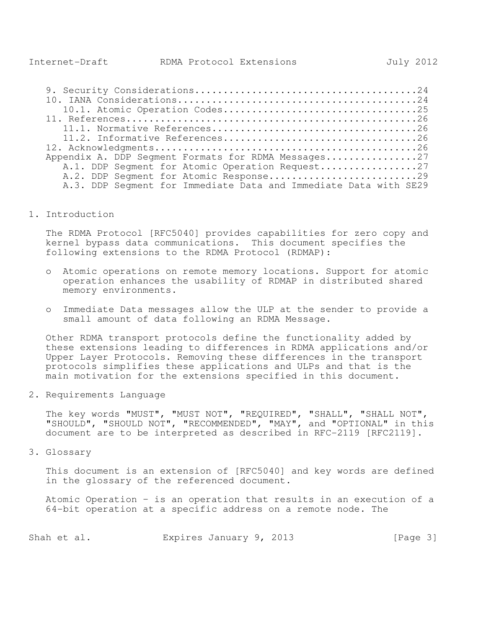| Appendix A. DDP Segment Formats for RDMA Messages27              |
|------------------------------------------------------------------|
| A.1. DDP Seqment for Atomic Operation Request27                  |
| A.2. DDP Seqment for Atomic Response29                           |
| A.3. DDP Segment for Immediate Data and Immediate Data with SE29 |

1. Introduction

The RDMA Protocol [RFC5040] provides capabilities for zero copy and kernel bypass data communications. This document specifies the following extensions to the RDMA Protocol (RDMAP):

- o Atomic operations on remote memory locations. Support for atomic operation enhances the usability of RDMAP in distributed shared memory environments.
- o Immediate Data messages allow the ULP at the sender to provide a small amount of data following an RDMA Message.

Other RDMA transport protocols define the functionality added by these extensions leading to differences in RDMA applications and/or Upper Layer Protocols. Removing these differences in the transport protocols simplifies these applications and ULPs and that is the main motivation for the extensions specified in this document.

2. Requirements Language

The key words "MUST", "MUST NOT", "REQUIRED", "SHALL", "SHALL NOT", "SHOULD", "SHOULD NOT", "RECOMMENDED", "MAY", and "OPTIONAL" in this document are to be interpreted as described in RFC-2119 [RFC2119].

3. Glossary

This document is an extension of [RFC5040] and key words are defined in the glossary of the referenced document.

Atomic Operation – is an operation that results in an execution of a 64-bit operation at a specific address on a remote node. The

| Shah et al. | Expires January 9, 2013 |  | [Page 3] |
|-------------|-------------------------|--|----------|
|-------------|-------------------------|--|----------|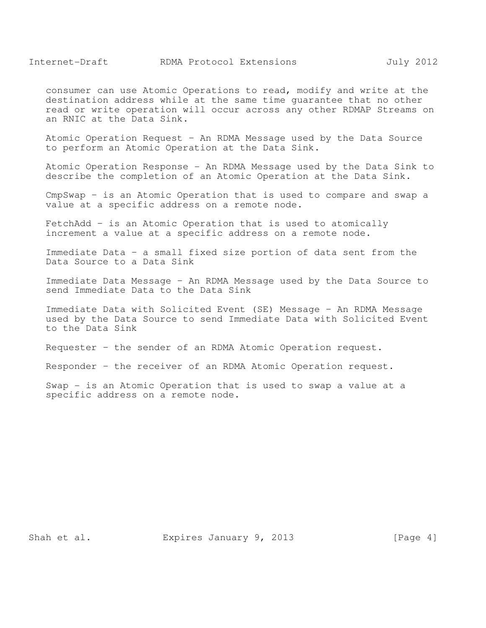consumer can use Atomic Operations to read, modify and write at the destination address while at the same time guarantee that no other read or write operation will occur across any other RDMAP Streams on an RNIC at the Data Sink.

Atomic Operation Request – An RDMA Message used by the Data Source to perform an Atomic Operation at the Data Sink.

Atomic Operation Response - An RDMA Message used by the Data Sink to describe the completion of an Atomic Operation at the Data Sink.

CmpSwap – is an Atomic Operation that is used to compare and swap a value at a specific address on a remote node.

FetchAdd – is an Atomic Operation that is used to atomically increment a value at a specific address on a remote node.

Immediate Data – a small fixed size portion of data sent from the Data Source to a Data Sink

Immediate Data Message – An RDMA Message used by the Data Source to send Immediate Data to the Data Sink

Immediate Data with Solicited Event (SE) Message – An RDMA Message used by the Data Source to send Immediate Data with Solicited Event to the Data Sink

Requester – the sender of an RDMA Atomic Operation request.

Responder – the receiver of an RDMA Atomic Operation request.

Swap - is an Atomic Operation that is used to swap a value at a specific address on a remote node.

Shah et al. Expires January 9, 2013 [Page 4]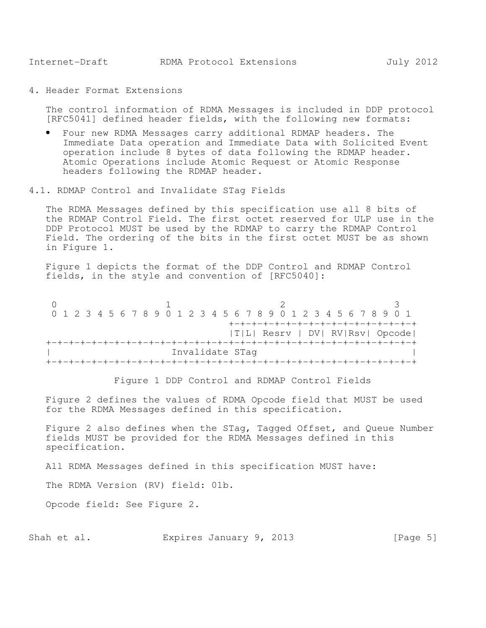4. Header Format Extensions

The control information of RDMA Messages is included in DDP protocol [RFC5041] defined header fields, with the following new formats:

- Four new RDMA Messages carry additional RDMAP headers. The Immediate Data operation and Immediate Data with Solicited Event operation include 8 bytes of data following the RDMAP header. Atomic Operations include Atomic Request or Atomic Response headers following the RDMAP header.
- 4.1. RDMAP Control and Invalidate STag Fields

The RDMA Messages defined by this specification use all 8 bits of the RDMAP Control Field. The first octet reserved for ULP use in the DDP Protocol MUST be used by the RDMAP to carry the RDMAP Control Field. The ordering of the bits in the first octet MUST be as shown in Figure 1.

Figure 1 depicts the format of the DDP Control and RDMAP Control fields, in the style and convention of [RFC5040]:

 $0$  and  $1$  and  $2$  3 0 1 2 3 4 5 6 7 8 9 0 1 2 3 4 5 6 7 8 9 0 1 2 3 4 5 6 7 8 9 0 1 +-+-+-+-+-+-+-+-+-+-+-+-+-+-+-+-+ |T|L| Resrv | DV| RV|Rsv| Opcode| +-+-+-+-+-+-+-+-+-+-+-+-+-+-+-+-+-+-+-+-+-+-+-+-+-+-+-+-+-+-+-+-+ | Invalidate STag | Invalidate Stag | Invalidate Stag | Invalidate Stag | Invalidate Stag | Invalidate Stag | I +-+-+-+-+-+-+-+-+-+-+-+-+-+-+-+-+-+-+-+-+-+-+-+-+-+-+-+-+-+-+-+-+

Figure 1 DDP Control and RDMAP Control Fields

Figure 2 defines the values of RDMA Opcode field that MUST be used for the RDMA Messages defined in this specification.

Figure 2 also defines when the STag, Tagged Offset, and Queue Number fields MUST be provided for the RDMA Messages defined in this specification.

All RDMA Messages defined in this specification MUST have:

The RDMA Version (RV) field: 01b.

Opcode field: See Figure 2.

Shah et al. **Expires January 9, 2013** [Page 5]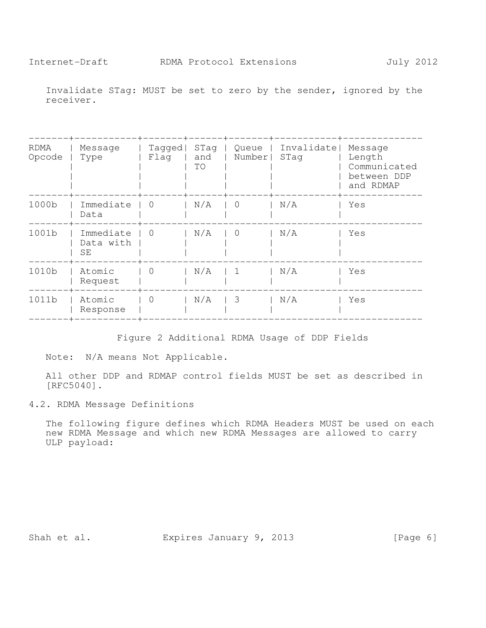Invalidate STag: MUST be set to zero by the sender, ignored by the receiver.

| RDMA<br>Opcode | Message<br>Type              | Tagged<br>Flaq | STag<br>and<br>TO | Queue<br>Number         | Invalidate <br>STag | Message<br>Length<br>Communicated<br>between DDP<br>and RDMAP |
|----------------|------------------------------|----------------|-------------------|-------------------------|---------------------|---------------------------------------------------------------|
| 1000b          | Immediate<br>Data            | - 0            | N/A               | 0                       | N/A                 | Yes                                                           |
| 1001b          | Immediate<br>Data with<br>SE | $\overline{0}$ | N/A               | $\overline{0}$          | N/A                 | Yes                                                           |
| 1010b          | Atomic<br>Request            | $\Omega$       | N/A               | $\overline{1}$          | N/A                 | Yes                                                           |
| 1011b          | Atomic<br>Response           | $\Omega$       | N/A               | $\overline{\mathbf{3}}$ | N/A                 | Yes                                                           |
|                |                              |                |                   |                         |                     |                                                               |

Figure 2 Additional RDMA Usage of DDP Fields

Note: N/A means Not Applicable.

All other DDP and RDMAP control fields MUST be set as described in [RFC5040].

4.2. RDMA Message Definitions

The following figure defines which RDMA Headers MUST be used on each new RDMA Message and which new RDMA Messages are allowed to carry ULP payload:

Shah et al. Expires January 9, 2013 [Page 6]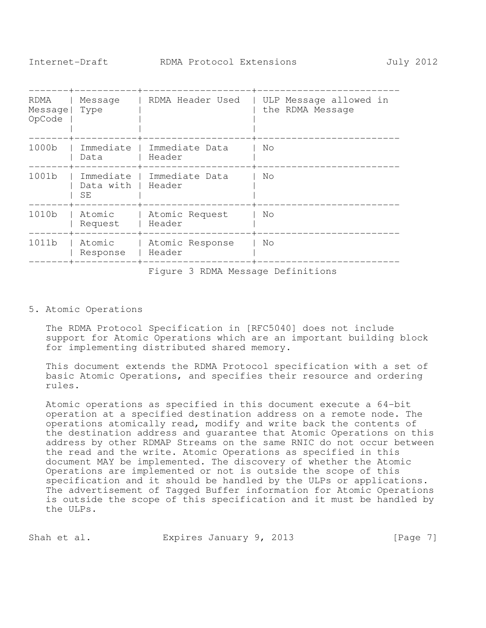| RDMA<br>Message<br>OpCode | Message<br>Type              | RDMA Header Used                  | ULP Message allowed in<br>the RDMA Message |
|---------------------------|------------------------------|-----------------------------------|--------------------------------------------|
| 1000 <sub>b</sub>         | Immediate<br>Data            | Immediate Data<br>Header          | No                                         |
| 1001 <sub>b</sub>         | Immediate<br>Data with<br>SE | Immediate Data<br>Header          | No                                         |
| 1010b                     | Atomic<br>Request            | Atomic Request<br>Header          | No                                         |
| 1011b                     | Atomic<br>Response           | Atomic Response<br>Header         | No                                         |
|                           |                              | Figure 3 RDMA Message Definitions |                                            |

## 5. Atomic Operations

The RDMA Protocol Specification in [RFC5040] does not include support for Atomic Operations which are an important building block for implementing distributed shared memory.

This document extends the RDMA Protocol specification with a set of basic Atomic Operations, and specifies their resource and ordering rules.

Atomic operations as specified in this document execute a 64-bit operation at a specified destination address on a remote node. The operations atomically read, modify and write back the contents of the destination address and guarantee that Atomic Operations on this address by other RDMAP Streams on the same RNIC do not occur between the read and the write. Atomic Operations as specified in this document MAY be implemented. The discovery of whether the Atomic Operations are implemented or not is outside the scope of this specification and it should be handled by the ULPs or applications. The advertisement of Tagged Buffer information for Atomic Operations is outside the scope of this specification and it must be handled by the ULPs.

| Shah et al. |  | Expires January 9, 2013 |  |  | [Page 7] |  |
|-------------|--|-------------------------|--|--|----------|--|
|-------------|--|-------------------------|--|--|----------|--|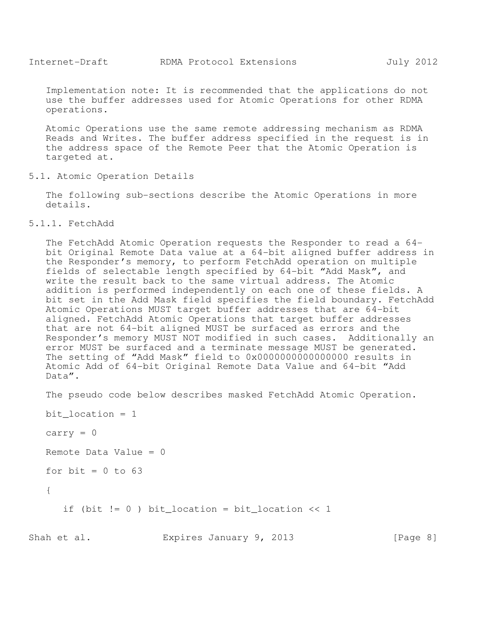Implementation note: It is recommended that the applications do not use the buffer addresses used for Atomic Operations for other RDMA operations.

Atomic Operations use the same remote addressing mechanism as RDMA Reads and Writes. The buffer address specified in the request is in the address space of the Remote Peer that the Atomic Operation is targeted at.

5.1. Atomic Operation Details

The following sub-sections describe the Atomic Operations in more details.

5.1.1. FetchAdd

The FetchAdd Atomic Operation requests the Responder to read a 64 bit Original Remote Data value at a 64-bit aligned buffer address in the Responder's memory, to perform FetchAdd operation on multiple fields of selectable length specified by 64-bit "Add Mask", and write the result back to the same virtual address. The Atomic addition is performed independently on each one of these fields. A bit set in the Add Mask field specifies the field boundary. FetchAdd Atomic Operations MUST target buffer addresses that are 64-bit aligned. FetchAdd Atomic Operations that target buffer addresses that are not 64-bit aligned MUST be surfaced as errors and the Responder's memory MUST NOT modified in such cases. Additionally an error MUST be surfaced and a terminate message MUST be generated. The setting of "Add Mask" field to 0x0000000000000000 results in Atomic Add of 64-bit Original Remote Data Value and 64-bit "Add Data".

The pseudo code below describes masked FetchAdd Atomic Operation.

bit  $location = 1$ 

```
carry = 0
```

```
Remote Data Value = 0
```

```
for bit = 0 to 63
```
{

if (bit != 0 ) bit\_location = bit\_location << 1

Shah et al. **Expires January 9, 2013** [Page 8]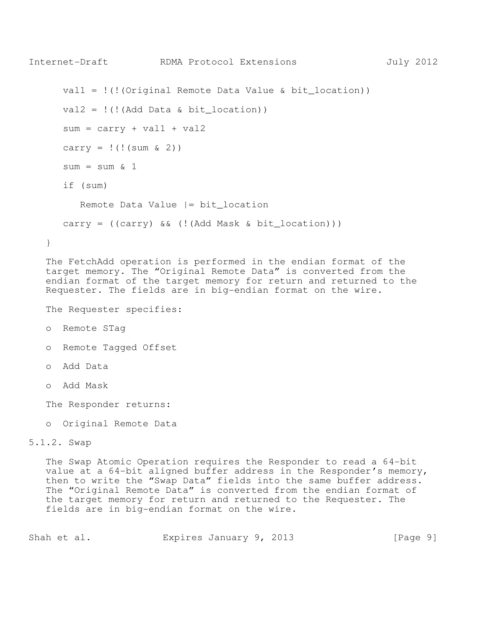```
Internet-Draft RDMA Protocol Extensions July 2012 
    val1 = !(!(Original Remote Data Value & bit_location)) 
   val2 = !( ((Add Data & bit location))
   sum = carry + val1 + val2carry = ! (!(sum & 2))sum = sum \& 1 if (sum) 
       Remote Data Value |= bit_location 
   carry = ((carry) & (|(Add Mask & bit\_location)))} 
The FetchAdd operation is performed in the endian format of the
```
target memory. The "Original Remote Data" is converted from the endian format of the target memory for return and returned to the Requester. The fields are in big-endian format on the wire.

The Requester specifies:

- o Remote STag
- o Remote Tagged Offset
- o Add Data
- o Add Mask

The Responder returns:

o Original Remote Data

## 5.1.2. Swap

The Swap Atomic Operation requires the Responder to read a 64-bit value at a 64-bit aligned buffer address in the Responder's memory, then to write the "Swap Data" fields into the same buffer address. The "Original Remote Data" is converted from the endian format of the target memory for return and returned to the Requester. The fields are in big-endian format on the wire.

| Shah et al. |  | Expires January 9, 2013 |  |  |  | [Page 9] |  |  |
|-------------|--|-------------------------|--|--|--|----------|--|--|
|-------------|--|-------------------------|--|--|--|----------|--|--|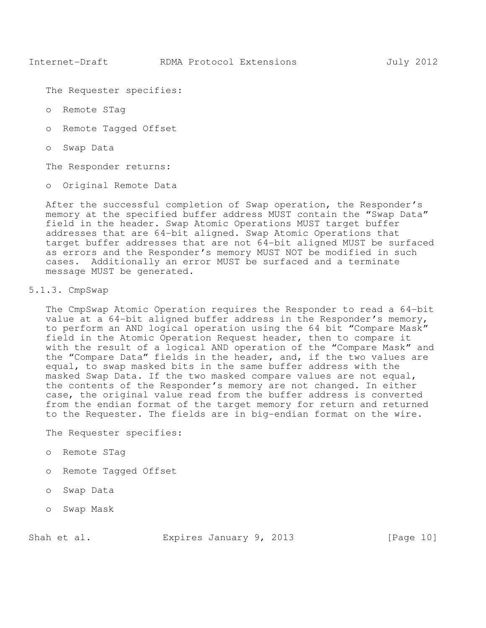The Requester specifies:

- o Remote STag
- o Remote Tagged Offset
- o Swap Data

The Responder returns:

o Original Remote Data

After the successful completion of Swap operation, the Responder's memory at the specified buffer address MUST contain the "Swap Data" field in the header. Swap Atomic Operations MUST target buffer addresses that are 64-bit aligned. Swap Atomic Operations that target buffer addresses that are not 64-bit aligned MUST be surfaced as errors and the Responder's memory MUST NOT be modified in such cases. Additionally an error MUST be surfaced and a terminate message MUST be generated.

#### 5.1.3. CmpSwap

The CmpSwap Atomic Operation requires the Responder to read a 64-bit value at a 64-bit aligned buffer address in the Responder's memory, to perform an AND logical operation using the 64 bit "Compare Mask" field in the Atomic Operation Request header, then to compare it with the result of a logical AND operation of the "Compare Mask" and the "Compare Data" fields in the header, and, if the two values are equal, to swap masked bits in the same buffer address with the masked Swap Data. If the two masked compare values are not equal, the contents of the Responder's memory are not changed. In either case, the original value read from the buffer address is converted from the endian format of the target memory for return and returned to the Requester. The fields are in big-endian format on the wire.

The Requester specifies:

- o Remote STag
- o Remote Tagged Offset
- o Swap Data
- o Swap Mask

Shah et al. **Expires January 9, 2013** [Page 10]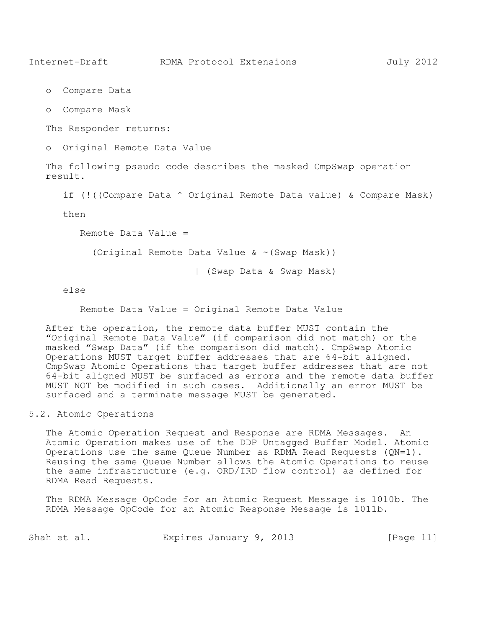- o Compare Data
- o Compare Mask

The Responder returns:

o Original Remote Data Value

The following pseudo code describes the masked CmpSwap operation result.

if (!((Compare Data ^ Original Remote Data value) & Compare Mask)

then

Remote Data Value =

(Original Remote Data Value & ~(Swap Mask))

| (Swap Data & Swap Mask)

else

Remote Data Value = Original Remote Data Value

After the operation, the remote data buffer MUST contain the "Original Remote Data Value" (if comparison did not match) or the masked "Swap Data" (if the comparison did match). CmpSwap Atomic Operations MUST target buffer addresses that are 64-bit aligned. CmpSwap Atomic Operations that target buffer addresses that are not 64-bit aligned MUST be surfaced as errors and the remote data buffer MUST NOT be modified in such cases. Additionally an error MUST be surfaced and a terminate message MUST be generated.

5.2. Atomic Operations

The Atomic Operation Request and Response are RDMA Messages. An Atomic Operation makes use of the DDP Untagged Buffer Model. Atomic Operations use the same Queue Number as RDMA Read Requests (QN=1). Reusing the same Queue Number allows the Atomic Operations to reuse the same infrastructure (e.g. ORD/IRD flow control) as defined for RDMA Read Requests.

The RDMA Message OpCode for an Atomic Request Message is 1010b. The RDMA Message OpCode for an Atomic Response Message is 1011b.

| Shah et al. |  |  | Expires January 9, 2013 |  |  |  | [Page 11] |  |
|-------------|--|--|-------------------------|--|--|--|-----------|--|
|-------------|--|--|-------------------------|--|--|--|-----------|--|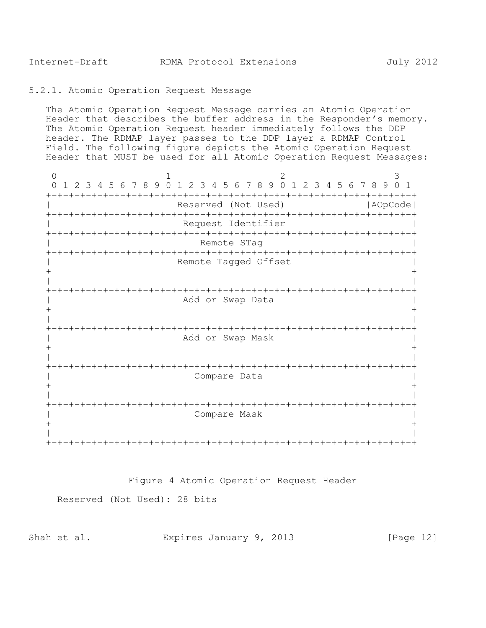#### 5.2.1. Atomic Operation Request Message

The Atomic Operation Request Message carries an Atomic Operation Header that describes the buffer address in the Responder's memory. The Atomic Operation Request header immediately follows the DDP header. The RDMAP layer passes to the DDP layer a RDMAP Control Field. The following figure depicts the Atomic Operation Request Header that MUST be used for all Atomic Operation Request Messages:

0  $1$  2 3 0 1 2 3 4 5 6 7 8 9 0 1 2 3 4 5 6 7 8 9 0 1 2 3 4 5 6 7 8 9 0 1 +-+-+-+-+-+-+-+-+-+-+-+-+-+-+-+-+-+-+-+-+-+-+-+-+-+-+-+-+-+-+-+-+ Reserved (Not Used) | AOpCode| +-+-+-+-+-+-+-+-+-+-+-+-+-+-+-+-+-+-+-+-+-+-+-+-+-+-+-+-+-+-+-+-+ Request Identifier +-+-+-+-+-+-+-+-+-+-+-+-+-+-+-+-+-+-+-+-+-+-+-+-+-+-+-+-+-+-+-+-+ Remote STag +-+-+-+-+-+-+-+-+-+-+-+-+-+-+-+-+-+-+-+-+-+-+-+-+-+-+-+-+-+-+-+-+ | Remote Tagged Offset |  $+$  +  $+$  +  $+$  +  $+$  +  $+$  +  $+$  +  $+$  +  $+$  +  $+$  +  $+$  +  $+$  +  $+$  +  $+$  +  $+$  +  $+$  +  $+$  +  $+$  +  $+$  +  $+$  +  $+$  +  $+$  +  $+$  +  $+$  +  $+$  +  $+$  +  $+$  +  $+$  +  $+$  +  $+$  +  $+$  +  $+$  +  $+$  +  $+$  +  $+$  +  $+$  +  $+$  +  $+$  + | | +-+-+-+-+-+-+-+-+-+-+-+-+-+-+-+-+-+-+-+-+-+-+-+-+-+-+-+-+-+-+-+-+ | Add or Swap Data |  $+$  +  $+$  +  $+$  +  $+$  +  $+$  +  $+$  +  $+$  +  $+$  +  $+$  +  $+$  +  $+$  +  $+$  +  $+$  +  $+$  +  $+$  +  $+$  +  $+$  +  $+$  +  $+$  +  $+$  +  $+$  +  $+$  +  $+$  +  $+$  +  $+$  +  $+$  +  $+$  +  $+$  +  $+$  +  $+$  +  $+$  +  $+$  +  $+$  +  $+$  +  $+$  +  $+$  +  $+$  + | | +-+-+-+-+-+-+-+-+-+-+-+-+-+-+-+-+-+-+-+-+-+-+-+-+-+-+-+-+-+-+-+-+ Add or Swap Mask  $+$  +  $+$  +  $+$  +  $+$  +  $+$  +  $+$  +  $+$  +  $+$  +  $+$  +  $+$  +  $+$  +  $+$  +  $+$  +  $+$  +  $+$  +  $+$  +  $+$  +  $+$  +  $+$  +  $+$  +  $+$  +  $+$  +  $+$  +  $+$  +  $+$  +  $+$  +  $+$  +  $+$  +  $+$  +  $+$  +  $+$  +  $+$  +  $+$  +  $+$  +  $+$  +  $+$  +  $+$  + | | +-+-+-+-+-+-+-+-+-+-+-+-+-+-+-+-+-+-+-+-+-+-+-+-+-+-+-+-+-+-+-+-+ Compare Data  $+$  +  $+$  +  $+$  +  $+$  +  $+$  +  $+$  +  $+$  +  $+$  +  $+$  +  $+$  +  $+$  +  $+$  +  $+$  +  $+$  +  $+$  +  $+$  +  $+$  +  $+$  +  $+$  +  $+$  +  $+$  +  $+$  +  $+$  +  $+$  +  $+$  +  $+$  +  $+$  +  $+$  +  $+$  +  $+$  +  $+$  +  $+$  +  $+$  +  $+$  +  $+$  +  $+$  +  $+$  + | | +-+-+-+-+-+-+-+-+-+-+-+-+-+-+-+-+-+-+-+-+-+-+-+-+-+-+-+-+-+-+-+-+ | Compare Mask |  $+$  +  $+$  +  $+$  +  $+$  +  $+$  +  $+$  +  $+$  +  $+$  +  $+$  +  $+$  +  $+$  +  $+$  +  $+$  +  $+$  +  $+$  +  $+$  +  $+$  +  $+$  +  $+$  +  $+$  +  $+$  +  $+$  +  $+$  +  $+$  +  $+$  +  $+$  +  $+$  +  $+$  +  $+$  +  $+$  +  $+$  +  $+$  +  $+$  +  $+$  +  $+$  +  $+$  +  $+$  + | | +-+-+-+-+-+-+-+-+-+-+-+-+-+-+-+-+-+-+-+-+-+-+-+-+-+-+-+-+-+-+-+-+

Figure 4 Atomic Operation Request Header

Reserved (Not Used): 28 bits

|  | Shah et al. | Expires January 9, 2013 |  |  |  | [Page 12] |
|--|-------------|-------------------------|--|--|--|-----------|
|--|-------------|-------------------------|--|--|--|-----------|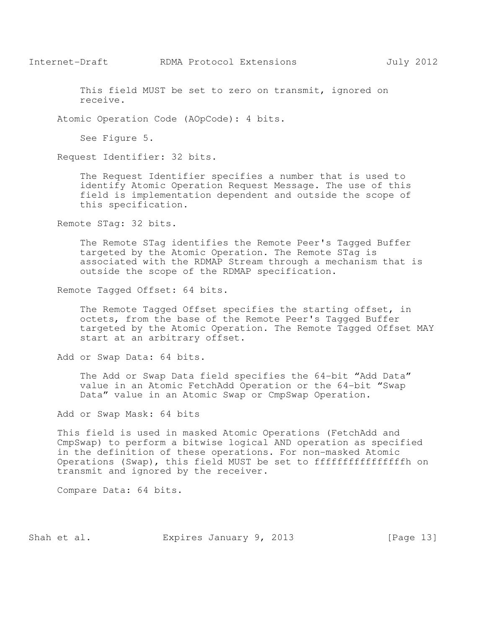This field MUST be set to zero on transmit, ignored on receive.

Atomic Operation Code (AOpCode): 4 bits.

See Figure 5.

Request Identifier: 32 bits.

The Request Identifier specifies a number that is used to identify Atomic Operation Request Message. The use of this field is implementation dependent and outside the scope of this specification.

Remote STag: 32 bits.

The Remote STag identifies the Remote Peer's Tagged Buffer targeted by the Atomic Operation. The Remote STag is associated with the RDMAP Stream through a mechanism that is outside the scope of the RDMAP specification.

Remote Tagged Offset: 64 bits.

The Remote Tagged Offset specifies the starting offset, in octets, from the base of the Remote Peer's Tagged Buffer targeted by the Atomic Operation. The Remote Tagged Offset MAY start at an arbitrary offset.

Add or Swap Data: 64 bits.

The Add or Swap Data field specifies the 64-bit "Add Data" value in an Atomic FetchAdd Operation or the 64-bit "Swap Data" value in an Atomic Swap or CmpSwap Operation.

Add or Swap Mask: 64 bits

This field is used in masked Atomic Operations (FetchAdd and CmpSwap) to perform a bitwise logical AND operation as specified in the definition of these operations. For non-masked Atomic Operations (Swap), this field MUST be set to ffffffffffffffffh on transmit and ignored by the receiver.

Compare Data: 64 bits.

Shah et al. Expires January 9, 2013 [Page 13]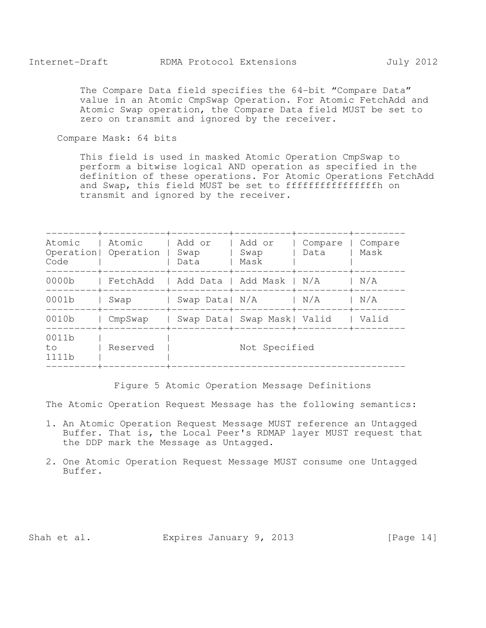The Compare Data field specifies the 64-bit "Compare Data" value in an Atomic CmpSwap Operation. For Atomic FetchAdd and Atomic Swap operation, the Compare Data field MUST be set to zero on transmit and ignored by the receiver.

Compare Mask: 64 bits

This field is used in masked Atomic Operation CmpSwap to perform a bitwise logical AND operation as specified in the definition of these operations. For Atomic Operations FetchAdd and Swap, this field MUST be set to ffffffffffffffffff on transmit and ignored by the receiver.

| Code                 | Atomic   Atomic   Add or<br>Operation   Operation   Swap | Data                                  | Add or<br>l Swap<br>Mask | Compare   Compare<br>Data   Mask |       |
|----------------------|----------------------------------------------------------|---------------------------------------|--------------------------|----------------------------------|-------|
|                      | 0000b   FetchAdd   Add Data   Add Mask   N/A   N/A       |                                       |                          |                                  |       |
| 0001b                | Swap   Swap Data   N/A   N/A   N/A                       |                                       |                          |                                  |       |
| 0010b                |                                                          | CmpSwap   Swap Data  Swap Mask  Valid |                          |                                  | Valid |
| 0011b<br>to<br>1111b | Reserved                                                 |                                       | Not Specified            |                                  |       |

Figure 5 Atomic Operation Message Definitions

The Atomic Operation Request Message has the following semantics:

- 1. An Atomic Operation Request Message MUST reference an Untagged Buffer. That is, the Local Peer's RDMAP layer MUST request that the DDP mark the Message as Untagged.
- 2. One Atomic Operation Request Message MUST consume one Untagged Buffer.

Shah et al. Expires January 9, 2013 [Page 14]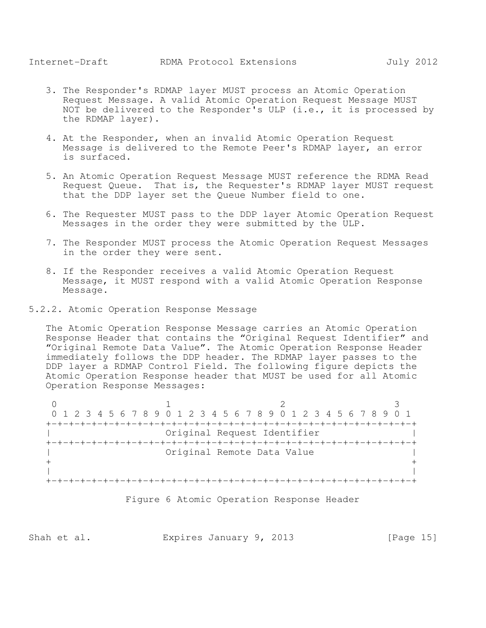- 3. The Responder's RDMAP layer MUST process an Atomic Operation Request Message. A valid Atomic Operation Request Message MUST NOT be delivered to the Responder's ULP (i.e., it is processed by the RDMAP layer).
- 4. At the Responder, when an invalid Atomic Operation Request Message is delivered to the Remote Peer's RDMAP layer, an error is surfaced.
- 5. An Atomic Operation Request Message MUST reference the RDMA Read Request Queue. That is, the Requester's RDMAP layer MUST request that the DDP layer set the Queue Number field to one.
- 6. The Requester MUST pass to the DDP layer Atomic Operation Request Messages in the order they were submitted by the ULP.
- 7. The Responder MUST process the Atomic Operation Request Messages in the order they were sent.
- 8. If the Responder receives a valid Atomic Operation Request Message, it MUST respond with a valid Atomic Operation Response Message.
- 5.2.2. Atomic Operation Response Message

The Atomic Operation Response Message carries an Atomic Operation Response Header that contains the "Original Request Identifier" and "Original Remote Data Value". The Atomic Operation Response Header immediately follows the DDP header. The RDMAP layer passes to the DDP layer a RDMAP Control Field. The following figure depicts the Atomic Operation Response header that MUST be used for all Atomic Operation Response Messages:

0  $1$  2 3 0 1 2 3 4 5 6 7 8 9 0 1 2 3 4 5 6 7 8 9 0 1 2 3 4 5 6 7 8 9 0 1 +-+-+-+-+-+-+-+-+-+-+-+-+-+-+-+-+-+-+-+-+-+-+-+-+-+-+-+-+-+-+-+-+ Original Request Identifier +-+-+-+-+-+-+-+-+-+-+-+-+-+-+-+-+-+-+-+-+-+-+-+-+-+-+-+-+-+-+-+-+ | Original Remote Data Value |  $+$  +  $+$  +  $+$  +  $+$  +  $+$  +  $+$  +  $+$  +  $+$  +  $+$  +  $+$  +  $+$  +  $+$  +  $+$  +  $+$  +  $+$  +  $+$  +  $+$  +  $+$  +  $+$  +  $+$  +  $+$  +  $+$  +  $+$  +  $+$  +  $+$  +  $+$  +  $+$  +  $+$  +  $+$  +  $+$  +  $+$  +  $+$  +  $+$  +  $+$  +  $+$  +  $+$  +  $+$  + | | +-+-+-+-+-+-+-+-+-+-+-+-+-+-+-+-+-+-+-+-+-+-+-+-+-+-+-+-+-+-+-+-+



Shah et al. **Expires January 9, 2013** [Page 15]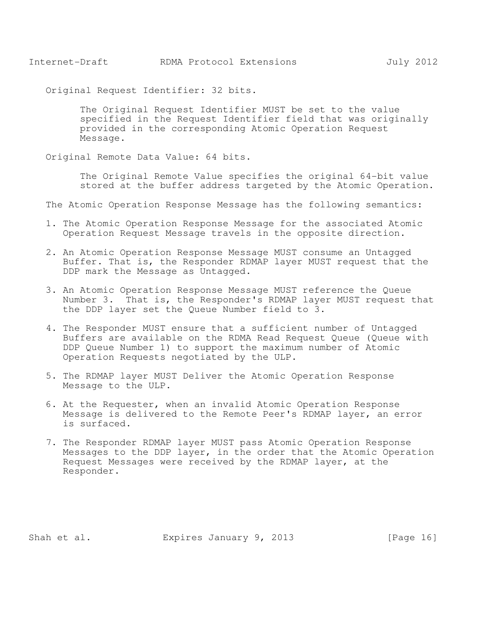Original Request Identifier: 32 bits.

The Original Request Identifier MUST be set to the value specified in the Request Identifier field that was originally provided in the corresponding Atomic Operation Request Message.

Original Remote Data Value: 64 bits.

The Original Remote Value specifies the original 64-bit value stored at the buffer address targeted by the Atomic Operation.

The Atomic Operation Response Message has the following semantics:

- 1. The Atomic Operation Response Message for the associated Atomic Operation Request Message travels in the opposite direction.
- 2. An Atomic Operation Response Message MUST consume an Untagged Buffer. That is, the Responder RDMAP layer MUST request that the DDP mark the Message as Untagged.
- 3. An Atomic Operation Response Message MUST reference the Queue Number 3. That is, the Responder's RDMAP layer MUST request that the DDP layer set the Queue Number field to 3.
- 4. The Responder MUST ensure that a sufficient number of Untagged Buffers are available on the RDMA Read Request Queue (Queue with DDP Queue Number 1) to support the maximum number of Atomic Operation Requests negotiated by the ULP.
- 5. The RDMAP layer MUST Deliver the Atomic Operation Response Message to the ULP.
- 6. At the Requester, when an invalid Atomic Operation Response Message is delivered to the Remote Peer's RDMAP layer, an error is surfaced.
- 7. The Responder RDMAP layer MUST pass Atomic Operation Response Messages to the DDP layer, in the order that the Atomic Operation Request Messages were received by the RDMAP layer, at the Responder.

Shah et al. Expires January 9, 2013 [Page 16]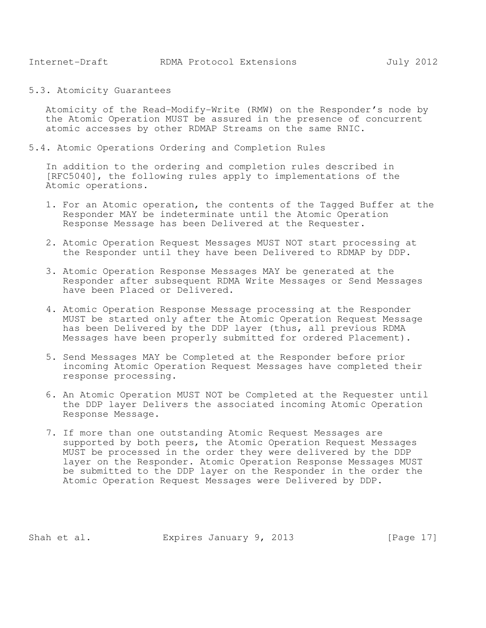5.3. Atomicity Guarantees

Atomicity of the Read-Modify-Write (RMW) on the Responder's node by the Atomic Operation MUST be assured in the presence of concurrent atomic accesses by other RDMAP Streams on the same RNIC.

5.4. Atomic Operations Ordering and Completion Rules

In addition to the ordering and completion rules described in [RFC5040], the following rules apply to implementations of the Atomic operations.

- 1. For an Atomic operation, the contents of the Tagged Buffer at the Responder MAY be indeterminate until the Atomic Operation Response Message has been Delivered at the Requester.
- 2. Atomic Operation Request Messages MUST NOT start processing at the Responder until they have been Delivered to RDMAP by DDP.
- 3. Atomic Operation Response Messages MAY be generated at the Responder after subsequent RDMA Write Messages or Send Messages have been Placed or Delivered.
- 4. Atomic Operation Response Message processing at the Responder MUST be started only after the Atomic Operation Request Message has been Delivered by the DDP layer (thus, all previous RDMA Messages have been properly submitted for ordered Placement).
- 5. Send Messages MAY be Completed at the Responder before prior incoming Atomic Operation Request Messages have completed their response processing.
- 6. An Atomic Operation MUST NOT be Completed at the Requester until the DDP layer Delivers the associated incoming Atomic Operation Response Message.
- 7. If more than one outstanding Atomic Request Messages are supported by both peers, the Atomic Operation Request Messages MUST be processed in the order they were delivered by the DDP layer on the Responder. Atomic Operation Response Messages MUST be submitted to the DDP layer on the Responder in the order the Atomic Operation Request Messages were Delivered by DDP.

Shah et al. Expires January 9, 2013 [Page 17]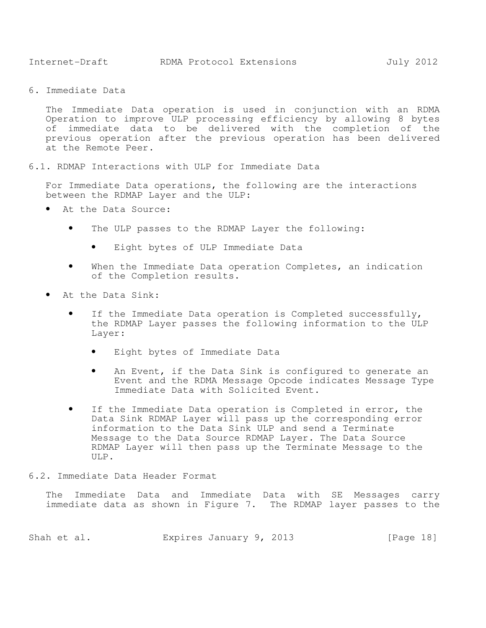6. Immediate Data

The Immediate Data operation is used in conjunction with an RDMA Operation to improve ULP processing efficiency by allowing 8 bytes of immediate data to be delivered with the completion of the previous operation after the previous operation has been delivered at the Remote Peer.

6.1. RDMAP Interactions with ULP for Immediate Data

For Immediate Data operations, the following are the interactions between the RDMAP Layer and the ULP:

- At the Data Source:
	- The ULP passes to the RDMAP Layer the following:
		- Eight bytes of ULP Immediate Data
	- When the Immediate Data operation Completes, an indication of the Completion results.
- At the Data Sink:
	- If the Immediate Data operation is Completed successfully, the RDMAP Layer passes the following information to the ULP Layer:
		- Eight bytes of Immediate Data
		- An Event, if the Data Sink is configured to generate an Event and the RDMA Message Opcode indicates Message Type Immediate Data with Solicited Event.
	- If the Immediate Data operation is Completed in error, the Data Sink RDMAP Layer will pass up the corresponding error information to the Data Sink ULP and send a Terminate Message to the Data Source RDMAP Layer. The Data Source RDMAP Layer will then pass up the Terminate Message to the ULP.
- 6.2. Immediate Data Header Format

The Immediate Data and Immediate Data with SE Messages carry immediate data as shown in Figure 7. The RDMAP layer passes to the

|  | Shah et al. | Expires January 9, 2013 |  |  |  | [Page 18] |  |
|--|-------------|-------------------------|--|--|--|-----------|--|
|--|-------------|-------------------------|--|--|--|-----------|--|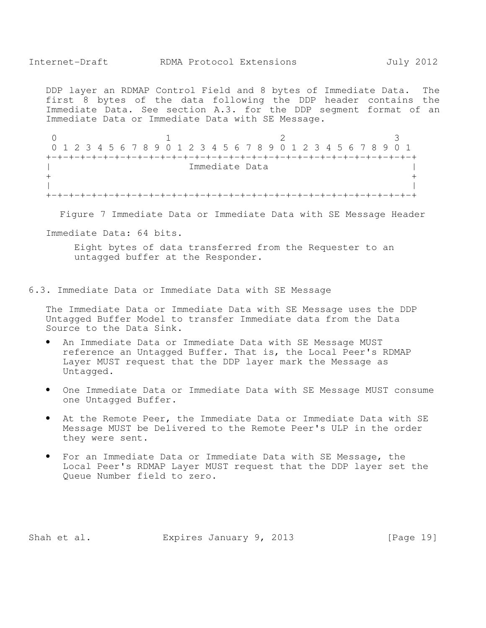DDP layer an RDMAP Control Field and 8 bytes of Immediate Data. The first 8 bytes of the data following the DDP header contains the Immediate Data. See section A.3. for the DDP segment format of an Immediate Data or Immediate Data with SE Message.

0  $1$  2 3 0 1 2 3 4 5 6 7 8 9 0 1 2 3 4 5 6 7 8 9 0 1 2 3 4 5 6 7 8 9 0 1 +-+-+-+-+-+-+-+-+-+-+-+-+-+-+-+-+-+-+-+-+-+-+-+-+-+-+-+-+-+-+-+-+ | Immediate Data | Immediate Data | Immediate Data | Immediate Data | Immediate Data | Immediate Data | Immediate Data | Immediate Data | Immediate Data | Immediate Data | Immediate Data | Immediate Data | Immediate Data |  $+$  +  $+$  +  $+$  +  $+$  +  $+$  +  $+$  +  $+$  +  $+$  +  $+$  +  $+$  +  $+$  +  $+$  +  $+$  +  $+$  +  $+$  +  $+$  +  $+$  +  $+$  +  $+$  +  $+$  +  $+$  +  $+$  +  $+$  +  $+$  +  $+$  +  $+$  +  $+$  +  $+$  +  $+$  +  $+$  +  $+$  +  $+$  +  $+$  +  $+$  +  $+$  +  $+$  +  $+$  + | | +-+-+-+-+-+-+-+-+-+-+-+-+-+-+-+-+-+-+-+-+-+-+-+-+-+-+-+-+-+-+-+-+

Figure 7 Immediate Data or Immediate Data with SE Message Header

Immediate Data: 64 bits.

Eight bytes of data transferred from the Requester to an untagged buffer at the Responder.

6.3. Immediate Data or Immediate Data with SE Message

The Immediate Data or Immediate Data with SE Message uses the DDP Untagged Buffer Model to transfer Immediate data from the Data Source to the Data Sink.

- An Immediate Data or Immediate Data with SE Message MUST reference an Untagged Buffer. That is, the Local Peer's RDMAP Layer MUST request that the DDP layer mark the Message as Untagged.
- One Immediate Data or Immediate Data with SE Message MUST consume one Untagged Buffer.
- At the Remote Peer, the Immediate Data or Immediate Data with SE Message MUST be Delivered to the Remote Peer's ULP in the order they were sent.
- For an Immediate Data or Immediate Data with SE Message, the Local Peer's RDMAP Layer MUST request that the DDP layer set the Queue Number field to zero.

Shah et al. **Expires January 9, 2013** [Page 19]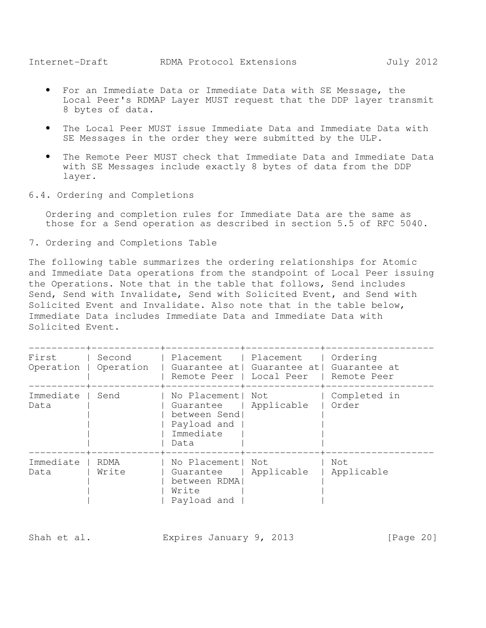- For an Immediate Data or Immediate Data with SE Message, the Local Peer's RDMAP Layer MUST request that the DDP layer transmit 8 bytes of data.
- The Local Peer MUST issue Immediate Data and Immediate Data with SE Messages in the order they were submitted by the ULP.
- The Remote Peer MUST check that Immediate Data and Immediate Data with SE Messages include exactly 8 bytes of data from the DDP layer.
- 6.4. Ordering and Completions

Ordering and completion rules for Immediate Data are the same as those for a Send operation as described in section 5.5 of RFC 5040.

7. Ordering and Completions Table

The following table summarizes the ordering relationships for Atomic and Immediate Data operations from the standpoint of Local Peer issuing the Operations. Note that in the table that follows, Send includes Send, Send with Invalidate, Send with Solicited Event, and Send with Solicited Event and Invalidate. Also note that in the table below, Immediate Data includes Immediate Data and Immediate Data with Solicited Event.

|                    |                     | -----+--------------+-----------------                                               |                                                                        |                           |
|--------------------|---------------------|--------------------------------------------------------------------------------------|------------------------------------------------------------------------|---------------------------|
| First<br>Operation | Second<br>Operation | Placement   Placement                                                                | Guarantee at   Guarantee at   Guarantee at<br>Remote Peer   Local Peer | Ordering<br>l Remote Peer |
| Immediate<br>Data  | Send                | No Placement  Not<br>Guarantee  <br>between Send<br>Payload and<br>Immediate<br>Data | Applicable                                                             | Completed in<br>Order     |
| Immediate<br>Data  | RDMA<br>Write       | No Placement  Not<br>Guarantee<br>between RDMA<br>Write<br>Payload and               | Applicable                                                             | Not<br>Applicable         |

| Shah et al. |  | Expires January 9, 2013 |  |  | [Page 20] |
|-------------|--|-------------------------|--|--|-----------|
|-------------|--|-------------------------|--|--|-----------|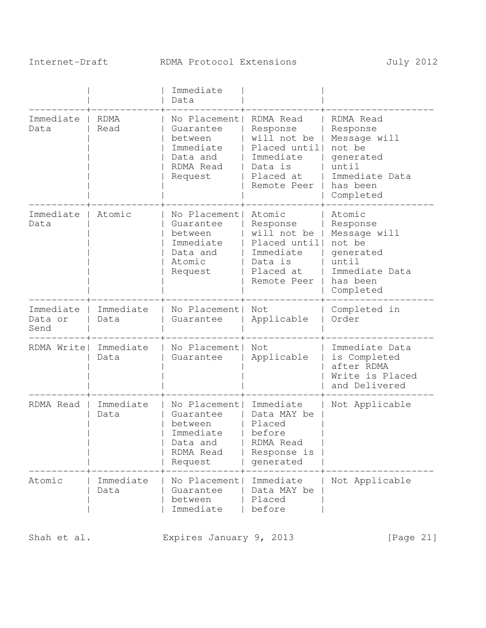# Internet-Draft RDMA Protocol Extensions July 2012

|                              |                     | Immediate<br>Data                                                                      |                                                                                                           |                                                                                                                  |
|------------------------------|---------------------|----------------------------------------------------------------------------------------|-----------------------------------------------------------------------------------------------------------|------------------------------------------------------------------------------------------------------------------|
| Immediate<br>Data            | <b>RDMA</b><br>Read | No Placement<br>Guarantee<br>between<br>Immediate<br>Data and<br>RDMA Read<br>Request  | RDMA Read<br>Response<br>will not be<br>Placed until <br>Immediate<br>Data is<br>Placed at<br>Remote Peer | RDMA Read<br>Response<br>Message will<br>not be<br>generated<br>until<br>Immediate Data<br>has been<br>Completed |
| Immediate<br>Data            | Atomic              | No Placement<br>Guarantee<br>between<br>Immediate<br>Data and<br>Atomic<br>Request     | Atomic<br>Response<br>will not be<br>Placed until <br>Immediate<br>Data is<br>Placed at<br>Remote Peer    | Atomic<br>Response<br>Message will<br>not be<br>generated<br>until<br>Immediate Data<br>has been<br>Completed    |
| Immediate<br>Data or<br>Send | Immediate<br>Data   | No Placement<br>Guarantee                                                              | Not<br>Applicable                                                                                         | Completed in<br>Order                                                                                            |
| RDMA Write                   | Immediate<br>Data   | No Placement<br>Guarantee                                                              | Not<br>Applicable                                                                                         | Immediate Data<br>is Completed<br>after RDMA<br>Write is Placed<br>and Delivered                                 |
| RDMA Read                    | Immediate<br>Data   | No Placement <br>Guarantee<br>between<br>Immediate<br>Data and<br>RDMA Read<br>Request | Immediate<br>Data MAY be<br>Placed<br>before<br>RDMA Read<br>Response is<br>generated                     | Not Applicable                                                                                                   |
| Atomic                       | Immediate<br>Data   | No Placement<br>Guarantee<br>between<br>Immediate                                      | Immediate<br>Data MAY be<br>Placed<br>before                                                              | Not Applicable                                                                                                   |

Shah et al. Expires January 9, 2013 [Page 21]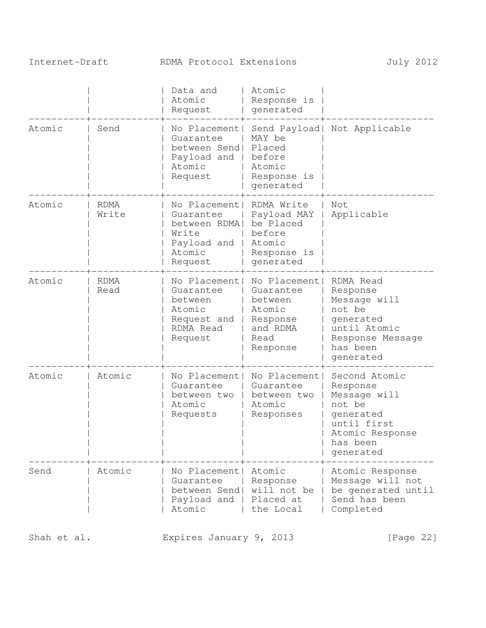# Internet-Draft RDMA Protocol Extensions July 2012

|        |                     | Data and<br>Atomic<br>Request                                                          | Atomic<br>Response is<br>generated                                                         |                                                                                                                             |
|--------|---------------------|----------------------------------------------------------------------------------------|--------------------------------------------------------------------------------------------|-----------------------------------------------------------------------------------------------------------------------------|
| Atomic | Send                | No Placement<br>Guarantee<br>between Send<br>Payload and<br>Atomic<br>Request          | Send Payload <br>MAY be<br>Placed<br>before<br>Atomic<br>Response is<br>generated          | Not Applicable                                                                                                              |
| Atomic | RDMA<br>Write       | No Placement<br>Guarantee<br>between RDMA<br>Write<br>Payload and<br>Atomic<br>Request | RDMA Write<br>Payload MAY<br>be Placed<br>before<br>Atomic<br>Response is<br>generated     | Not<br>Applicable                                                                                                           |
| Atomic | <b>RDMA</b><br>Read | No Placement<br>Guarantee<br>between<br>Atomic<br>Request and<br>RDMA Read<br>Request  | No Placement<br>Guarantee<br>between<br>Atomic<br>Response<br>and RDMA<br>Read<br>Response | RDMA Read<br>Response<br>Message will<br>not be<br>generated<br>until Atomic<br>Response Message<br>has been<br>generated   |
| Atomic | Atomic              | No Placement <br>Guarantee<br>between two<br>Atomic<br>Requests                        | No Placement<br>Guarantee<br>between two<br>Atomic<br>Responses                            | Second Atomic<br>Response<br>Message will<br>not be<br>generated<br>until first<br>Atomic Response<br>has been<br>generated |
| Send   | Atomic              | No Placement <br>Guarantee<br>between Send<br>Payload and<br>Atomic                    | Atomic<br>Response<br>will not be<br>Placed at<br>the Local                                | Atomic Response<br>Message will not<br>be generated until<br>Send has been<br>Completed                                     |

Shah et al. Expires January 9, 2013 [Page 22]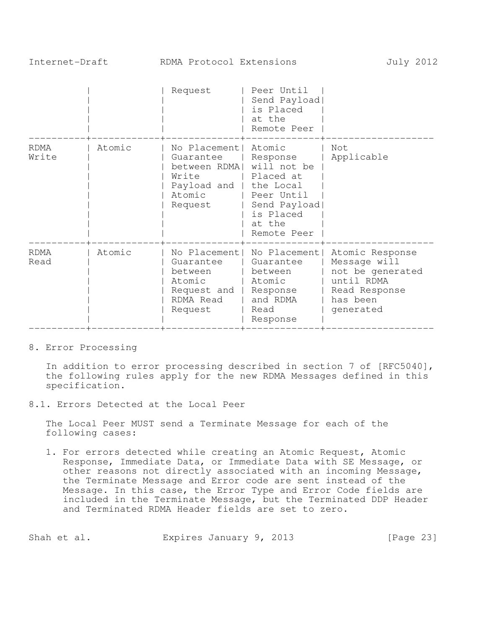|               |        | Request                                                                                    | Peer Until<br>Send Payload<br>is Placed<br>at the<br>Remote Peer                                                                |                                                                                                             |
|---------------|--------|--------------------------------------------------------------------------------------------|---------------------------------------------------------------------------------------------------------------------------------|-------------------------------------------------------------------------------------------------------------|
| RDMA<br>Write | Atomic | No Placement <br>Guarantee<br>between RDMA <br>Write<br>Payload and  <br>Atomic<br>Request | Atomic<br>Response<br>will not be<br>Placed at<br>the Local<br>Peer Until<br>Send Payload<br>is Placed<br>at the<br>Remote Peer | Not<br>Applicable                                                                                           |
| RDMA<br>Read  | Atomic | No Placement <br>Guarantee<br>between<br>Atomic<br>Request and<br>RDMA Read<br>Request     | No Placement <br>Guarantee<br>between<br>Atomic<br>Response<br>and RDMA<br>Read<br>Response                                     | Atomic Response<br>Message will<br>not be generated<br>until RDMA<br>Read Response<br>has been<br>generated |

#### 8. Error Processing

In addition to error processing described in section 7 of [RFC5040], the following rules apply for the new RDMA Messages defined in this specification.

8.1. Errors Detected at the Local Peer

The Local Peer MUST send a Terminate Message for each of the following cases:

1. For errors detected while creating an Atomic Request, Atomic Response, Immediate Data, or Immediate Data with SE Message, or other reasons not directly associated with an incoming Message, the Terminate Message and Error code are sent instead of the Message. In this case, the Error Type and Error Code fields are included in the Terminate Message, but the Terminated DDP Header and Terminated RDMA Header fields are set to zero.

| Shah et al. | Expires January 9, 2013 | [Page 23] |
|-------------|-------------------------|-----------|
|-------------|-------------------------|-----------|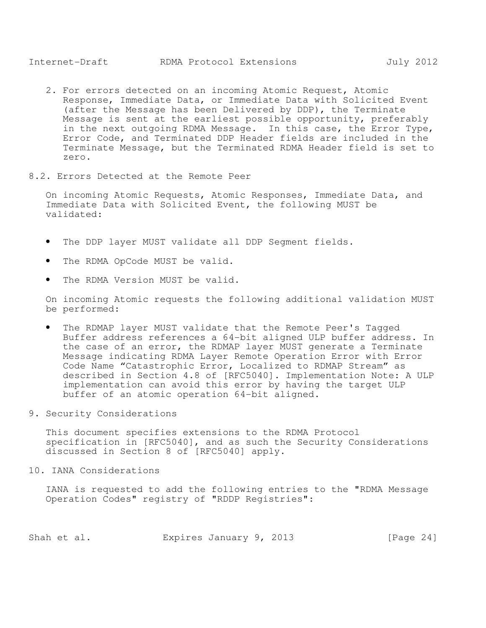- 2. For errors detected on an incoming Atomic Request, Atomic Response, Immediate Data, or Immediate Data with Solicited Event (after the Message has been Delivered by DDP), the Terminate Message is sent at the earliest possible opportunity, preferably in the next outgoing RDMA Message. In this case, the Error Type, Error Code, and Terminated DDP Header fields are included in the Terminate Message, but the Terminated RDMA Header field is set to zero.
- 8.2. Errors Detected at the Remote Peer

On incoming Atomic Requests, Atomic Responses, Immediate Data, and Immediate Data with Solicited Event, the following MUST be validated:

- The DDP layer MUST validate all DDP Segment fields.
- The RDMA OpCode MUST be valid.
- The RDMA Version MUST be valid.

On incoming Atomic requests the following additional validation MUST be performed:

- The RDMAP layer MUST validate that the Remote Peer's Tagged Buffer address references a 64-bit aligned ULP buffer address. In the case of an error, the RDMAP layer MUST generate a Terminate Message indicating RDMA Layer Remote Operation Error with Error Code Name "Catastrophic Error, Localized to RDMAP Stream" as described in Section 4.8 of [RFC5040]. Implementation Note: A ULP implementation can avoid this error by having the target ULP buffer of an atomic operation 64-bit aligned.
- 9. Security Considerations

This document specifies extensions to the RDMA Protocol specification in [RFC5040], and as such the Security Considerations discussed in Section 8 of [RFC5040] apply.

10. IANA Considerations

IANA is requested to add the following entries to the "RDMA Message Operation Codes" registry of "RDDP Registries":

| Shah et al. | Expires January 9, 2013 |  | [Page 24] |
|-------------|-------------------------|--|-----------|
|-------------|-------------------------|--|-----------|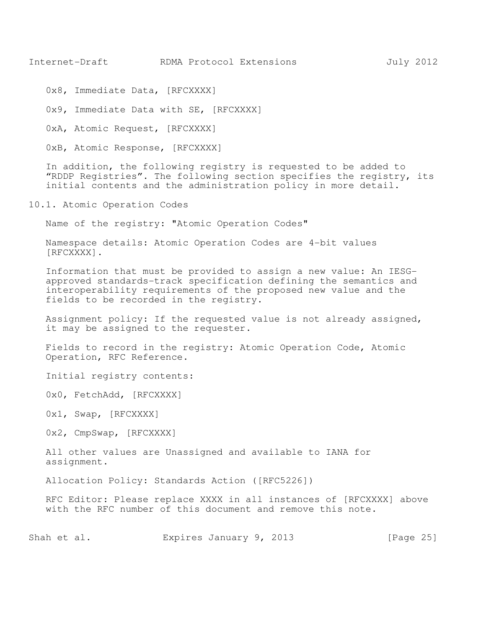0x8, Immediate Data, [RFCXXXX]

0x9, Immediate Data with SE, [RFCXXXX]

0xA, Atomic Request, [RFCXXXX]

0xB, Atomic Response, [RFCXXXX]

In addition, the following registry is requested to be added to "RDDP Registries". The following section specifies the registry, its initial contents and the administration policy in more detail.

10.1. Atomic Operation Codes

Name of the registry: "Atomic Operation Codes"

Namespace details: Atomic Operation Codes are 4-bit values [RFCXXXX].

Information that must be provided to assign a new value: An IESGapproved standards-track specification defining the semantics and interoperability requirements of the proposed new value and the fields to be recorded in the registry.

Assignment policy: If the requested value is not already assigned, it may be assigned to the requester.

Fields to record in the registry: Atomic Operation Code, Atomic Operation, RFC Reference.

Initial registry contents:

0x0, FetchAdd, [RFCXXXX]

0x1, Swap, [RFCXXXX]

0x2, CmpSwap, [RFCXXXX]

All other values are Unassigned and available to IANA for assignment.

Allocation Policy: Standards Action ([RFC5226])

RFC Editor: Please replace XXXX in all instances of [RFCXXXX] above with the RFC number of this document and remove this note.

Shah et al. Expires January 9, 2013 [Page 25]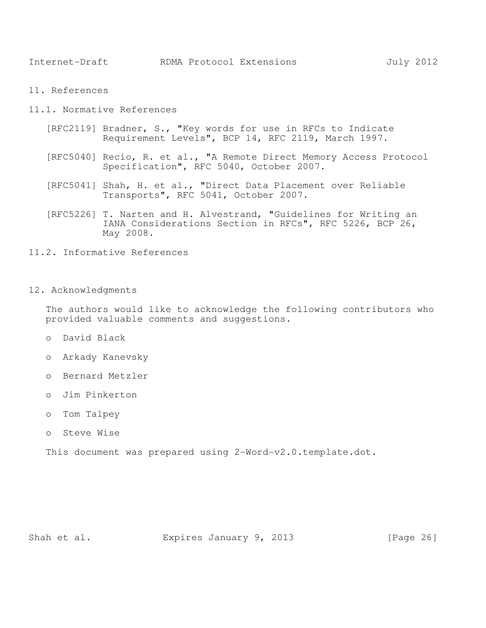11. References

11.1. Normative References

- [RFC2119] Bradner, S., "Key words for use in RFCs to Indicate Requirement Levels", BCP 14, RFC 2119, March 1997.
- [RFC5040] Recio, R. et al., "A Remote Direct Memory Access Protocol Specification", RFC 5040, October 2007.
- [RFC5041] Shah, H. et al., "Direct Data Placement over Reliable Transports", RFC 5041, October 2007.
- [RFC5226] T. Narten and H. Alvestrand, "Guidelines for Writing an IANA Considerations Section in RFCs", RFC 5226, BCP 26, May 2008.
- 11.2. Informative References
- 12. Acknowledgments

The authors would like to acknowledge the following contributors who provided valuable comments and suggestions.

- o David Black
- o Arkady Kanevsky
- o Bernard Metzler
- o Jim Pinkerton
- o Tom Talpey
- o Steve Wise

This document was prepared using 2-Word-v2.0.template.dot.

Shah et al. **Expires January 9, 2013** [Page 26]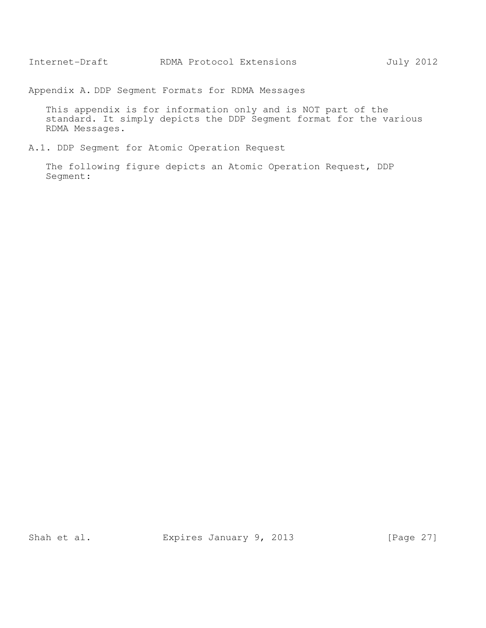Appendix A. DDP Segment Formats for RDMA Messages

This appendix is for information only and is NOT part of the standard. It simply depicts the DDP Segment format for the various RDMA Messages.

A.1. DDP Segment for Atomic Operation Request

The following figure depicts an Atomic Operation Request, DDP Segment:

Shah et al. Expires January 9, 2013 [Page 27]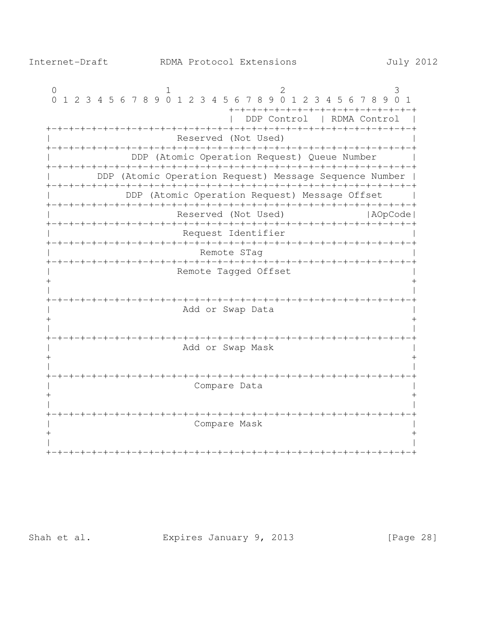$\Omega$  $\mathcal{L}$ 3  $\mathbf{1}$ 0 1 2 3 4 5 6 7 8 9 0 1 2 3 4 5 6 7 8 9 0 1 2 3 4 5 6 7 8 9 0 1 +-+-+-+-+-+-+-+-+-+-+-+-+-+-+-+-+ | DDP Control | RDMA Control | Reserved (Not Used) DDP (Atomic Operation Request) Queue Number  $\sim 100$ DDP (Atomic Operation Request) Message Sequence Number | DDP (Atomic Operation Request) Message Offset  $\sim$  1 Reserved (Not Used) | AOpCode | Request Identifier Remote STaq Remote Taqqed Offset  $+$ Add or Swap Data  $+$  $\pm$ Add or Swap Mask  $\mathbf{I}$  $\mathbf{I}$  $+$  $+$  $\mathbf{I}$ Compare Data  $\mathbf{I}$  $+$  $\ddot{+}$ Compare Mask 

Shah et al.

Expires January 9, 2013

[Page 28]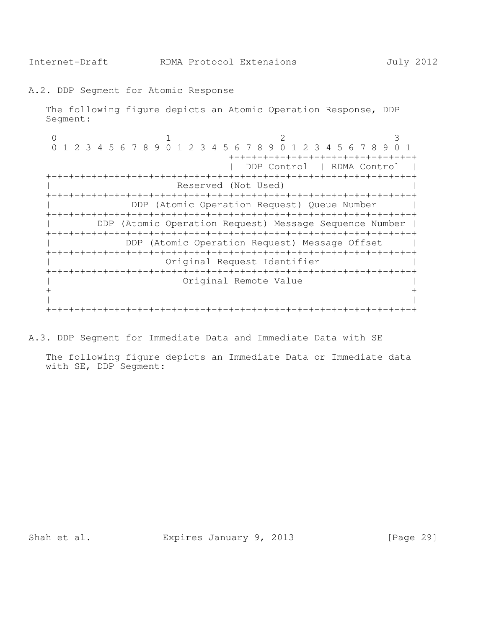A.2. DDP Segment for Atomic Response

The following figure depicts an Atomic Operation Response, DDP Segment:

0  $1$  2 3 0 1 2 3 4 5 6 7 8 9 0 1 2 3 4 5 6 7 8 9 0 1 2 3 4 5 6 7 8 9 0 1 +-+-+-+-+-+-+-+-+-+-+-+-+-+-+-+-+ | DDP Control | RDMA Control | +-+-+-+-+-+-+-+-+-+-+-+-+-+-+-+-+-+-+-+-+-+-+-+-+-+-+-+-+-+-+-+-+ Reserved (Not Used) +-+-+-+-+-+-+-+-+-+-+-+-+-+-+-+-+-+-+-+-+-+-+-+-+-+-+-+-+-+-+-+-+ DDP (Atomic Operation Request) Queue Number | +-+-+-+-+-+-+-+-+-+-+-+-+-+-+-+-+-+-+-+-+-+-+-+-+-+-+-+-+-+-+-+-+ | DDP (Atomic Operation Request) Message Sequence Number | +-+-+-+-+-+-+-+-+-+-+-+-+-+-+-+-+-+-+-+-+-+-+-+-+-+-+-+-+-+-+-+-+ DDP (Atomic Operation Request) Message Offset | +-+-+-+-+-+-+-+-+-+-+-+-+-+-+-+-+-+-+-+-+-+-+-+-+-+-+-+-+-+-+-+-+ Original Request Identifier +-+-+-+-+-+-+-+-+-+-+-+-+-+-+-+-+-+-+-+-+-+-+-+-+-+-+-+-+-+-+-+-+ | Original Remote Value |  $+$  +  $+$  +  $+$  +  $+$  +  $+$  +  $+$  +  $+$  +  $+$  +  $+$  +  $+$  +  $+$  +  $+$  +  $+$  +  $+$  +  $+$  +  $+$  +  $+$  +  $+$  +  $+$  +  $+$  +  $+$  +  $+$  +  $+$  +  $+$  +  $+$  +  $+$  +  $+$  +  $+$  +  $+$  +  $+$  +  $+$  +  $+$  +  $+$  +  $+$  +  $+$  +  $+$  +  $+$  + | | +-+-+-+-+-+-+-+-+-+-+-+-+-+-+-+-+-+-+-+-+-+-+-+-+-+-+-+-+-+-+-+-+

A.3. DDP Segment for Immediate Data and Immediate Data with SE

The following figure depicts an Immediate Data or Immediate data with SE, DDP Segment:

Shah et al. **Expires January 9, 2013** [Page 29]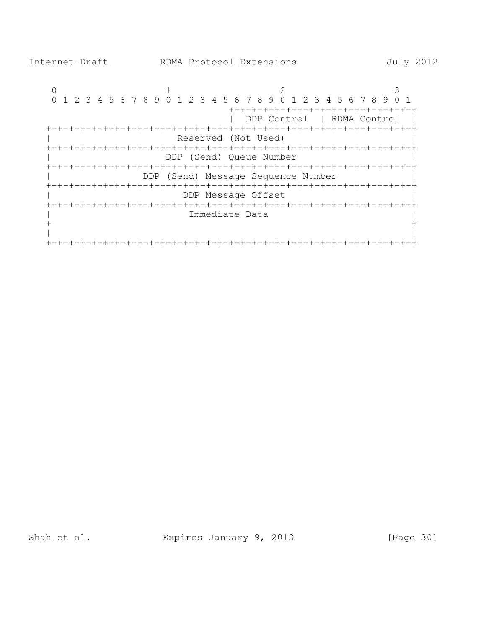

Shah et al. Expires January 9, 2013 [Page 30]